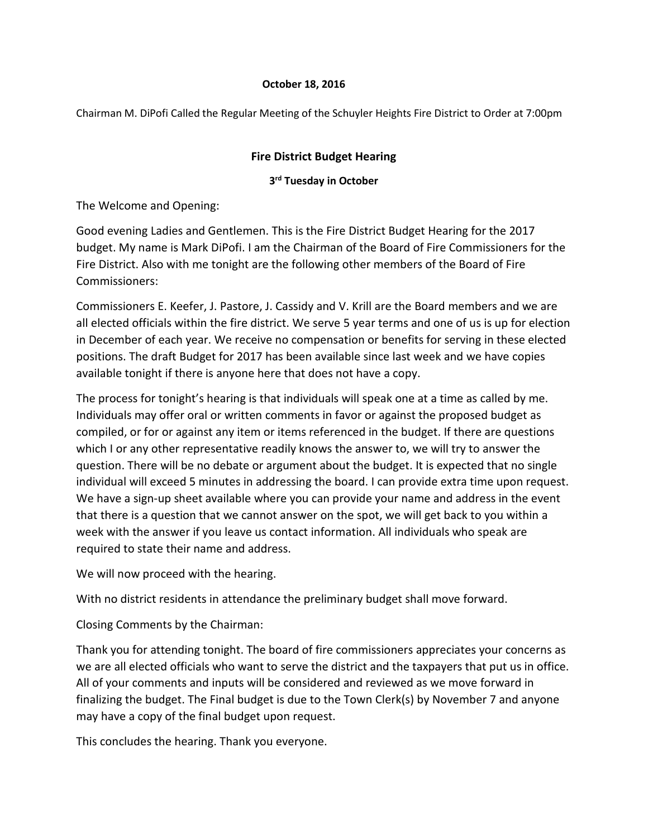# **October 18, 2016**

Chairman M. DiPofi Called the Regular Meeting of the Schuyler Heights Fire District to Order at 7:00pm

# **Fire District Budget Hearing**

# **3rd Tuesday in October**

The Welcome and Opening:

Good evening Ladies and Gentlemen. This is the Fire District Budget Hearing for the 2017 budget. My name is Mark DiPofi. I am the Chairman of the Board of Fire Commissioners for the Fire District. Also with me tonight are the following other members of the Board of Fire Commissioners:

Commissioners E. Keefer, J. Pastore, J. Cassidy and V. Krill are the Board members and we are all elected officials within the fire district. We serve 5 year terms and one of us is up for election in December of each year. We receive no compensation or benefits for serving in these elected positions. The draft Budget for 2017 has been available since last week and we have copies available tonight if there is anyone here that does not have a copy.

The process for tonight's hearing is that individuals will speak one at a time as called by me. Individuals may offer oral or written comments in favor or against the proposed budget as compiled, or for or against any item or items referenced in the budget. If there are questions which I or any other representative readily knows the answer to, we will try to answer the question. There will be no debate or argument about the budget. It is expected that no single individual will exceed 5 minutes in addressing the board. I can provide extra time upon request. We have a sign-up sheet available where you can provide your name and address in the event that there is a question that we cannot answer on the spot, we will get back to you within a week with the answer if you leave us contact information. All individuals who speak are required to state their name and address.

We will now proceed with the hearing.

With no district residents in attendance the preliminary budget shall move forward.

Closing Comments by the Chairman:

Thank you for attending tonight. The board of fire commissioners appreciates your concerns as we are all elected officials who want to serve the district and the taxpayers that put us in office. All of your comments and inputs will be considered and reviewed as we move forward in finalizing the budget. The Final budget is due to the Town Clerk(s) by November 7 and anyone may have a copy of the final budget upon request.

This concludes the hearing. Thank you everyone.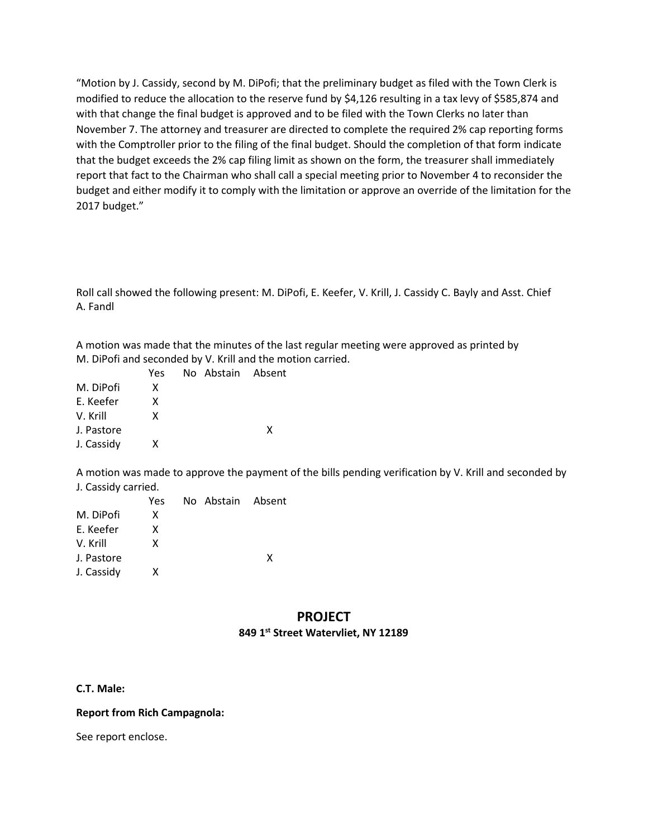"Motion by J. Cassidy, second by M. DiPofi; that the preliminary budget as filed with the Town Clerk is modified to reduce the allocation to the reserve fund by \$4,126 resulting in a tax levy of \$585,874 and with that change the final budget is approved and to be filed with the Town Clerks no later than November 7. The attorney and treasurer are directed to complete the required 2% cap reporting forms with the Comptroller prior to the filing of the final budget. Should the completion of that form indicate that the budget exceeds the 2% cap filing limit as shown on the form, the treasurer shall immediately report that fact to the Chairman who shall call a special meeting prior to November 4 to reconsider the budget and either modify it to comply with the limitation or approve an override of the limitation for the 2017 budget."

Roll call showed the following present: M. DiPofi, E. Keefer, V. Krill, J. Cassidy C. Bayly and Asst. Chief A. Fandl

A motion was made that the minutes of the last regular meeting were approved as printed by M. DiPofi and seconded by V. Krill and the motion carried.

|            | Yes | No Abstain Absent |   |
|------------|-----|-------------------|---|
| M. DiPofi  | x   |                   |   |
| F. Keefer  | x   |                   |   |
| V. Krill   | x   |                   |   |
| J. Pastore |     |                   | x |
| J. Cassidy | x   |                   |   |
|            |     |                   |   |

A motion was made to approve the payment of the bills pending verification by V. Krill and seconded by J. Cassidy carried.

|            | Yes. | No Abstain Absent |   |
|------------|------|-------------------|---|
| M. DiPofi  | x    |                   |   |
| F. Keefer  | x    |                   |   |
| V. Krill   | x    |                   |   |
| J. Pastore |      |                   | x |
| J. Cassidy | x    |                   |   |
|            |      |                   |   |

# **PROJECT 849 1st Street Watervliet, NY 12189**

## **C.T. Male:**

## **Report from Rich Campagnola:**

See report enclose.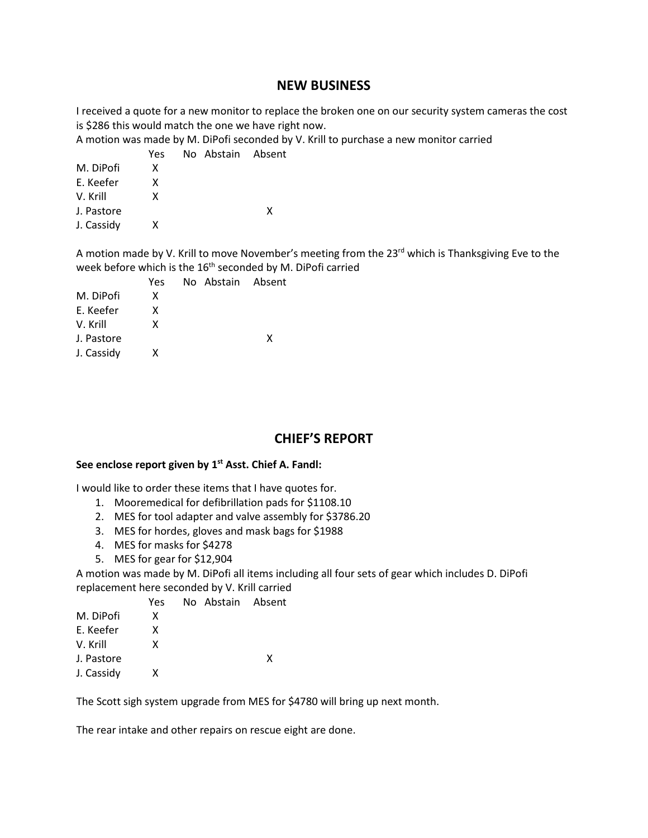# **NEW BUSINESS**

I received a quote for a new monitor to replace the broken one on our security system cameras the cost is \$286 this would match the one we have right now.

A motion was made by M. DiPofi seconded by V. Krill to purchase a new monitor carried

|            | Yes. | No Abstain Absent |   |
|------------|------|-------------------|---|
| M. DiPofi  | x    |                   |   |
| F. Keefer  | x    |                   |   |
| V. Krill   | x    |                   |   |
| J. Pastore |      |                   | x |
| J. Cassidy | x    |                   |   |
|            |      |                   |   |

A motion made by V. Krill to move November's meeting from the 23<sup>rd</sup> which is Thanksgiving Eve to the week before which is the 16<sup>th</sup> seconded by M. DiPofi carried

|            | Yes |  | No Abstain Absent |
|------------|-----|--|-------------------|
| M. DiPofi  | x   |  |                   |
| E. Keefer  | x   |  |                   |
| V. Krill   | x   |  |                   |
| J. Pastore |     |  | x                 |
| J. Cassidy | x   |  |                   |

# **CHIEF'S REPORT**

#### **See enclose report given by 1st Asst. Chief A. Fandl:**

I would like to order these items that I have quotes for.

- 1. Mooremedical for defibrillation pads for \$1108.10
- 2. MES for tool adapter and valve assembly for \$3786.20
- 3. MES for hordes, gloves and mask bags for \$1988
- 4. MES for masks for \$4278
- 5. MES for gear for \$12,904

A motion was made by M. DiPofi all items including all four sets of gear which includes D. DiPofi replacement here seconded by V. Krill carried

|            | Yes | No Abstain Absent |   |
|------------|-----|-------------------|---|
| M. DiPofi  | x   |                   |   |
| E. Keefer  | x   |                   |   |
| V. Krill   | x   |                   |   |
| J. Pastore |     |                   | x |
| J. Cassidy | x   |                   |   |

The Scott sigh system upgrade from MES for \$4780 will bring up next month.

The rear intake and other repairs on rescue eight are done.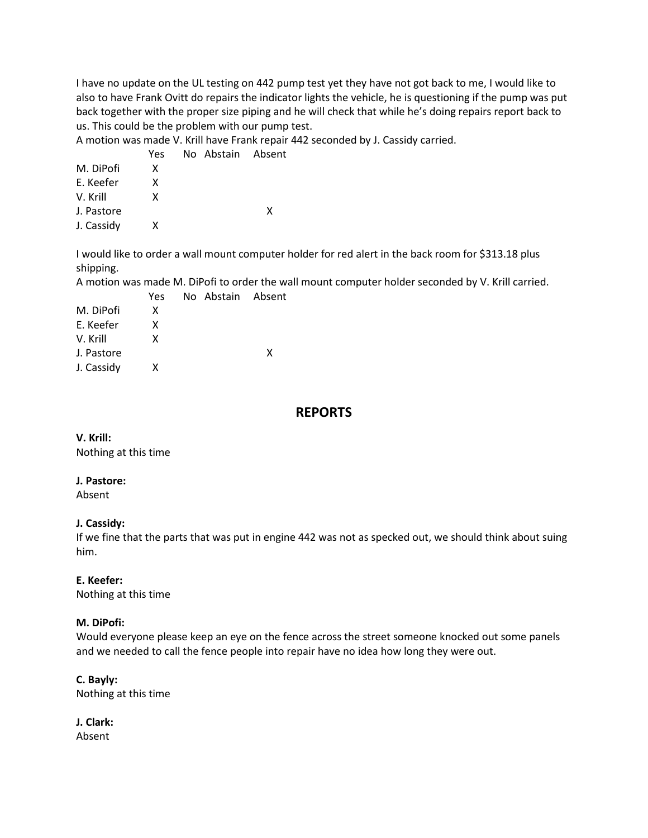I have no update on the UL testing on 442 pump test yet they have not got back to me, I would like to also to have Frank Ovitt do repairs the indicator lights the vehicle, he is questioning if the pump was put back together with the proper size piping and he will check that while he's doing repairs report back to us. This could be the problem with our pump test.

A motion was made V. Krill have Frank repair 442 seconded by J. Cassidy carried.

|            | Yes | No Abstain Absent |   |
|------------|-----|-------------------|---|
| M. DiPofi  | x   |                   |   |
| E. Keefer  | x   |                   |   |
| V. Krill   | x   |                   |   |
| J. Pastore |     |                   | x |
| J. Cassidy | x   |                   |   |
|            |     |                   |   |

I would like to order a wall mount computer holder for red alert in the back room for \$313.18 plus shipping.

A motion was made M. DiPofi to order the wall mount computer holder seconded by V. Krill carried.

| Yes |  |                   |
|-----|--|-------------------|
| x   |  |                   |
| x   |  |                   |
| X   |  |                   |
|     |  | x                 |
| x   |  |                   |
|     |  | No Abstain Absent |

# **REPORTS**

### **V. Krill:**

Nothing at this time

#### **J. Pastore:**

Absent

## **J. Cassidy:**

If we fine that the parts that was put in engine 442 was not as specked out, we should think about suing him.

#### **E. Keefer:**

Nothing at this time

## **M. DiPofi:**

Would everyone please keep an eye on the fence across the street someone knocked out some panels and we needed to call the fence people into repair have no idea how long they were out.

#### **C. Bayly:**

Nothing at this time

**J. Clark:** Absent